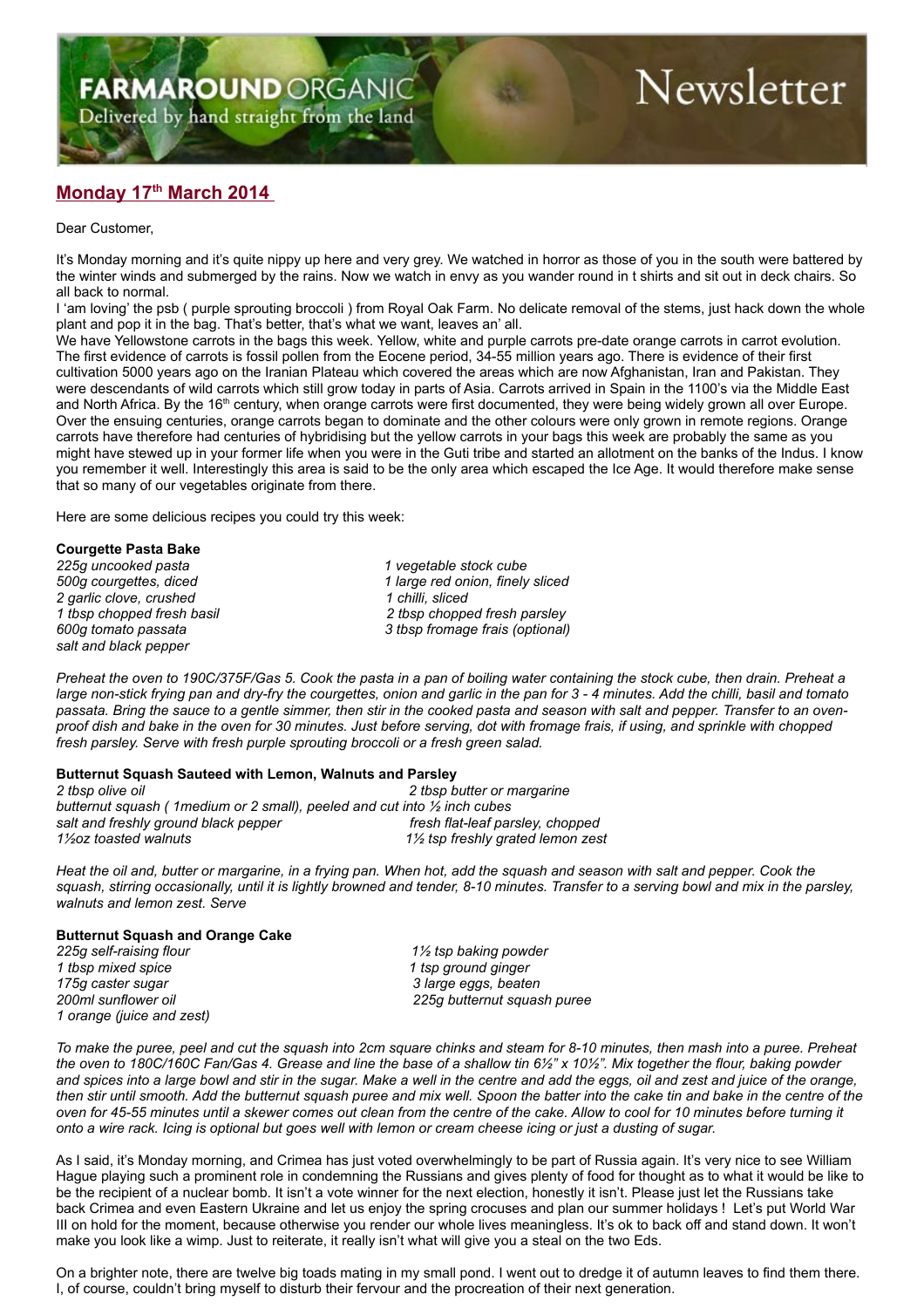Delivered by hand straight from the land

# Newsletter

## **Monday 17th March 2014**

Dear Customer,

It's Monday morning and it's quite nippy up here and very grey. We watched in horror as those of you in the south were battered by the winter winds and submerged by the rains. Now we watch in envy as you wander round in t shirts and sit out in deck chairs. So all back to normal.

I 'am loving' the psb ( purple sprouting broccoli ) from Royal Oak Farm. No delicate removal of the stems, just hack down the whole plant and pop it in the bag. That's better, that's what we want, leaves an' all.

We have Yellowstone carrots in the bags this week. Yellow, white and purple carrots pre-date orange carrots in carrot evolution. The first evidence of carrots is fossil pollen from the Eocene period, 34-55 million years ago. There is evidence of their first cultivation 5000 years ago on the Iranian Plateau which covered the areas which are now Afghanistan, Iran and Pakistan. They were descendants of wild carrots which still grow today in parts of Asia. Carrots arrived in Spain in the 1100's via the Middle East and North Africa. By the 16<sup>th</sup> century, when orange carrots were first documented, they were being widely grown all over Europe. Over the ensuing centuries, orange carrots began to dominate and the other colours were only grown in remote regions. Orange carrots have therefore had centuries of hybridising but the yellow carrots in your bags this week are probably the same as you might have stewed up in your former life when you were in the Guti tribe and started an allotment on the banks of the Indus. I know you remember it well. Interestingly this area is said to be the only area which escaped the Ice Age. It would therefore make sense that so many of our vegetables originate from there.

Here are some delicious recipes you could try this week:

### **Courgette Pasta Bake**

*2 garlic clove, crushed 1 chilli, sliced salt and black pepper*

*225g uncooked pasta 1 vegetable stock cube 500g courgettes, diced 1 large red onion, finely sliced 1 tbsp chopped fresh basil 2 tbsp chopped fresh parsley 600g tomato passata 3 tbsp fromage frais (optional)*

*Preheat the oven to 190C/375F/Gas 5. Cook the pasta in a pan of boiling water containing the stock cube, then drain. Preheat a large non-stick frying pan and dry-fry the courgettes, onion and garlic in the pan for 3 - 4 minutes. Add the chilli, basil and tomato passata. Bring the sauce to a gentle simmer, then stir in the cooked pasta and season with salt and pepper. Transfer to an ovenproof dish and bake in the oven for 30 minutes. Just before serving, dot with fromage frais, if using, and sprinkle with chopped fresh parsley. Serve with fresh purple sprouting broccoli or a fresh green salad.*

### **Butternut Squash Sauteed with Lemon, Walnuts and Parsley**

| 2 tbsp olive oil                                                                      | 2 tbsp butter or margarine       |
|---------------------------------------------------------------------------------------|----------------------------------|
| butternut squash ( 1 medium or 2 small), peeled and cut into $\frac{1}{2}$ inch cubes |                                  |
| salt and freshly ground black pepper                                                  | fresh flat-leaf parsley, chopped |
| 1½oz toasted walnuts                                                                  | 1½ tsp freshly grated lemon zest |

*Heat the oil and, butter or margarine, in a frying pan. When hot, add the squash and season with salt and pepper. Cook the squash, stirring occasionally, until it is lightly browned and tender, 8-10 minutes. Transfer to a serving bowl and mix in the parsley, walnuts and lemon zest. Serve*

### **Butternut Squash and Orange Cake**

*1 tbsp mixed spice 1 tsp ground ginger 175g caster sugar 3 large eggs, beaten 1 orange (juice and zest)*

*225g self-raising flour 1½ tsp baking powder 200ml sunflower oil 225g butternut squash puree*

*To make the puree, peel and cut the squash into 2cm square chinks and steam for 8-10 minutes, then mash into a puree. Preheat the oven to 180C/160C Fan/Gas 4. Grease and line the base of a shallow tin 6½" x 10½". Mix together the flour, baking powder and spices into a large bowl and stir in the sugar. Make a well in the centre and add the eggs, oil and zest and juice of the orange, then stir until smooth. Add the butternut squash puree and mix well. Spoon the batter into the cake tin and bake in the centre of the oven for 45-55 minutes until a skewer comes out clean from the centre of the cake. Allow to cool for 10 minutes before turning it onto a wire rack. Icing is optional but goes well with lemon or cream cheese icing or just a dusting of sugar.*

As I said, it's Monday morning, and Crimea has just voted overwhelmingly to be part of Russia again. It's very nice to see William Hague playing such a prominent role in condemning the Russians and gives plenty of food for thought as to what it would be like to be the recipient of a nuclear bomb. It isn't a vote winner for the next election, honestly it isn't. Please just let the Russians take back Crimea and even Eastern Ukraine and let us enjoy the spring crocuses and plan our summer holidays ! Let's put World War III on hold for the moment, because otherwise you render our whole lives meaningless. It's ok to back off and stand down. It won't make you look like a wimp. Just to reiterate, it really isn't what will give you a steal on the two Eds.

On a brighter note, there are twelve big toads mating in my small pond. I went out to dredge it of autumn leaves to find them there. I, of course, couldn't bring myself to disturb their fervour and the procreation of their next generation.